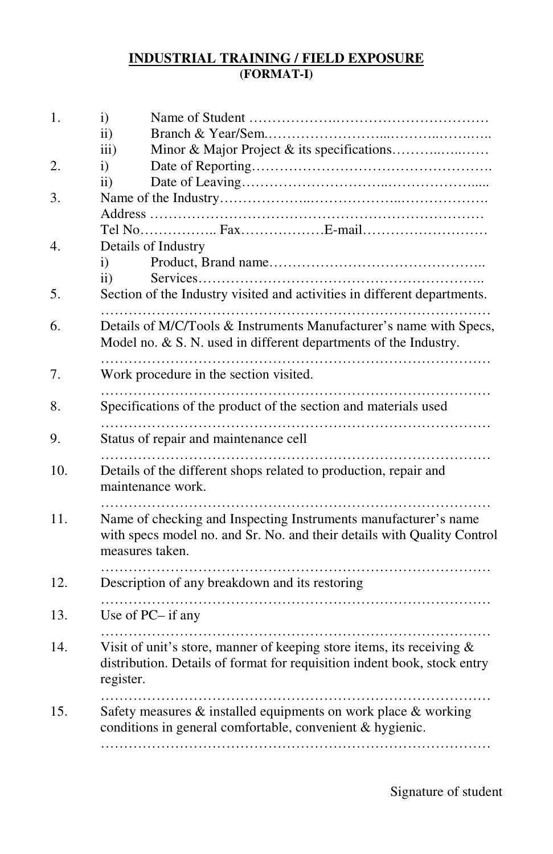## **INDUSTRIAL TRAINING / FIELD EXPOSURE (FORMAT-I)**

| 1.  | $\mathbf{i}$<br>$\mathbf{ii}$                                                                                                                                     |  |  |
|-----|-------------------------------------------------------------------------------------------------------------------------------------------------------------------|--|--|
|     | iii)                                                                                                                                                              |  |  |
| 2.  | $\mathbf{i}$                                                                                                                                                      |  |  |
|     | $\overline{11}$ )                                                                                                                                                 |  |  |
| 3.  |                                                                                                                                                                   |  |  |
|     |                                                                                                                                                                   |  |  |
|     |                                                                                                                                                                   |  |  |
| 4.  | Details of Industry                                                                                                                                               |  |  |
|     | i)                                                                                                                                                                |  |  |
|     | $\ddot{\textbf{i}}$                                                                                                                                               |  |  |
| 5.  | Section of the Industry visited and activities in different departments.                                                                                          |  |  |
| 6.  | Details of M/C/Tools & Instruments Manufacturer's name with Specs,<br>Model no. & S. N. used in different departments of the Industry.                            |  |  |
| 7.  | Work procedure in the section visited.                                                                                                                            |  |  |
| 8.  | Specifications of the product of the section and materials used                                                                                                   |  |  |
| 9.  | Status of repair and maintenance cell                                                                                                                             |  |  |
| 10. | Details of the different shops related to production, repair and<br>maintenance work.                                                                             |  |  |
| 11. | Name of checking and Inspecting Instruments manufacturer's name<br>with specs model no. and Sr. No. and their details with Quality Control<br>measures taken.     |  |  |
| 12. | Description of any breakdown and its restoring                                                                                                                    |  |  |
| 13. | Use of PC- if any                                                                                                                                                 |  |  |
| 14. | Visit of unit's store, manner of keeping store items, its receiving $\&$<br>distribution. Details of format for requisition indent book, stock entry<br>register. |  |  |
| 15. | Safety measures & installed equipments on work place & working<br>conditions in general comfortable, convenient & hygienic.                                       |  |  |
|     |                                                                                                                                                                   |  |  |